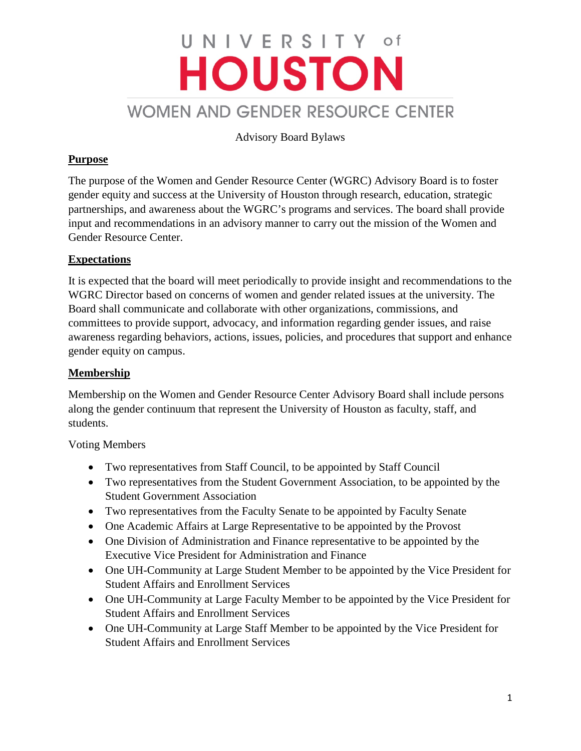# UNIVERSITY of **HOUSTON** WOMEN AND GENDER RESOURCE CENTER

Advisory Board Bylaws

# **Purpose**

The purpose of the Women and Gender Resource Center (WGRC) Advisory Board is to foster gender equity and success at the University of Houston through research, education, strategic partnerships, and awareness about the WGRC's programs and services. The board shall provide input and recommendations in an advisory manner to carry out the mission of the Women and Gender Resource Center.

## **Expectations**

It is expected that the board will meet periodically to provide insight and recommendations to the WGRC Director based on concerns of women and gender related issues at the university. The Board shall communicate and collaborate with other organizations, commissions, and committees to provide support, advocacy, and information regarding gender issues, and raise awareness regarding behaviors, actions, issues, policies, and procedures that support and enhance gender equity on campus.

## **Membership**

Membership on the Women and Gender Resource Center Advisory Board shall include persons along the gender continuum that represent the University of Houston as faculty, staff, and students.

Voting Members

- Two representatives from Staff Council, to be appointed by Staff Council
- Two representatives from the Student Government Association, to be appointed by the Student Government Association
- Two representatives from the Faculty Senate to be appointed by Faculty Senate
- One Academic Affairs at Large Representative to be appointed by the Provost
- One Division of Administration and Finance representative to be appointed by the Executive Vice President for Administration and Finance
- One UH-Community at Large Student Member to be appointed by the Vice President for Student Affairs and Enrollment Services
- One UH-Community at Large Faculty Member to be appointed by the Vice President for Student Affairs and Enrollment Services
- One UH-Community at Large Staff Member to be appointed by the Vice President for Student Affairs and Enrollment Services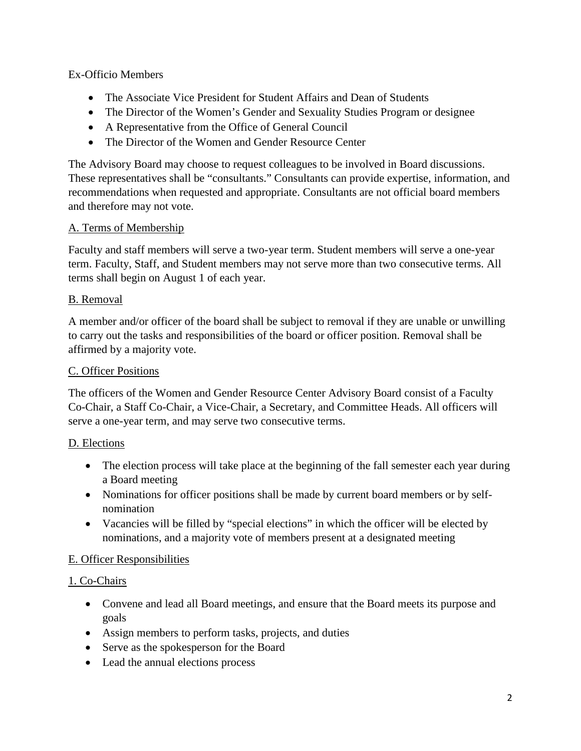## Ex-Officio Members

- The Associate Vice President for Student Affairs and Dean of Students
- The Director of the Women's Gender and Sexuality Studies Program or designee
- A Representative from the Office of General Council
- The Director of the Women and Gender Resource Center

The Advisory Board may choose to request colleagues to be involved in Board discussions. These representatives shall be "consultants." Consultants can provide expertise, information, and recommendations when requested and appropriate. Consultants are not official board members and therefore may not vote.

## A. Terms of Membership

Faculty and staff members will serve a two-year term. Student members will serve a one-year term. Faculty, Staff, and Student members may not serve more than two consecutive terms. All terms shall begin on August 1 of each year.

## B. Removal

A member and/or officer of the board shall be subject to removal if they are unable or unwilling to carry out the tasks and responsibilities of the board or officer position. Removal shall be affirmed by a majority vote.

## C. Officer Positions

The officers of the Women and Gender Resource Center Advisory Board consist of a Faculty Co-Chair, a Staff Co-Chair, a Vice-Chair, a Secretary, and Committee Heads. All officers will serve a one-year term, and may serve two consecutive terms.

# D. Elections

- The election process will take place at the beginning of the fall semester each year during a Board meeting
- Nominations for officer positions shall be made by current board members or by selfnomination
- Vacancies will be filled by "special elections" in which the officer will be elected by nominations, and a majority vote of members present at a designated meeting

## E. Officer Responsibilities

## 1. Co-Chairs

- Convene and lead all Board meetings, and ensure that the Board meets its purpose and goals
- Assign members to perform tasks, projects, and duties
- Serve as the spokesperson for the Board
- Lead the annual elections process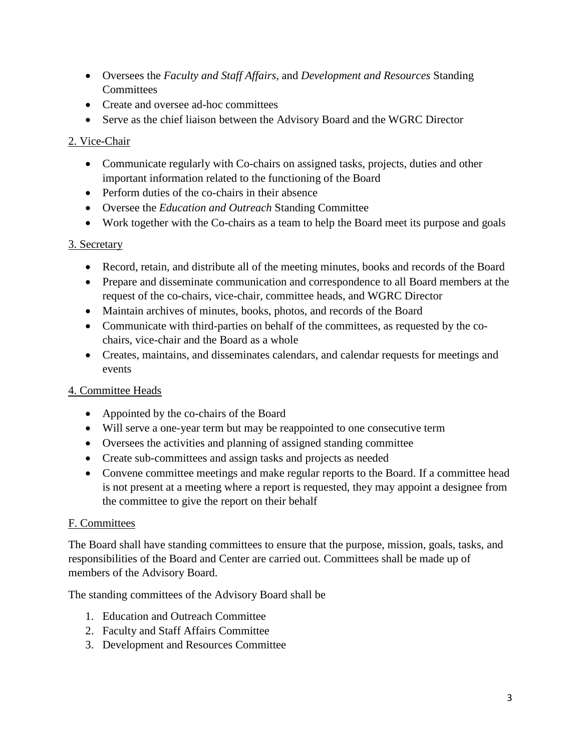- Oversees the *Faculty and Staff Affairs*, and *Development and Resources* Standing **Committees**
- Create and oversee ad-hoc committees
- Serve as the chief liaison between the Advisory Board and the WGRC Director

## 2. Vice-Chair

- Communicate regularly with Co-chairs on assigned tasks, projects, duties and other important information related to the functioning of the Board
- Perform duties of the co-chairs in their absence
- Oversee the *Education and Outreach* Standing Committee
- Work together with the Co-chairs as a team to help the Board meet its purpose and goals

## 3. Secretary

- Record, retain, and distribute all of the meeting minutes, books and records of the Board
- Prepare and disseminate communication and correspondence to all Board members at the request of the co-chairs, vice-chair, committee heads, and WGRC Director
- Maintain archives of minutes, books, photos, and records of the Board
- Communicate with third-parties on behalf of the committees, as requested by the cochairs, vice-chair and the Board as a whole
- Creates, maintains, and disseminates calendars, and calendar requests for meetings and events

# 4. Committee Heads

- Appointed by the co-chairs of the Board
- Will serve a one-year term but may be reappointed to one consecutive term
- Oversees the activities and planning of assigned standing committee
- Create sub-committees and assign tasks and projects as needed
- Convene committee meetings and make regular reports to the Board. If a committee head is not present at a meeting where a report is requested, they may appoint a designee from the committee to give the report on their behalf

## F. Committees

The Board shall have standing committees to ensure that the purpose, mission, goals, tasks, and responsibilities of the Board and Center are carried out. Committees shall be made up of members of the Advisory Board.

The standing committees of the Advisory Board shall be

- 1. Education and Outreach Committee
- 2. Faculty and Staff Affairs Committee
- 3. Development and Resources Committee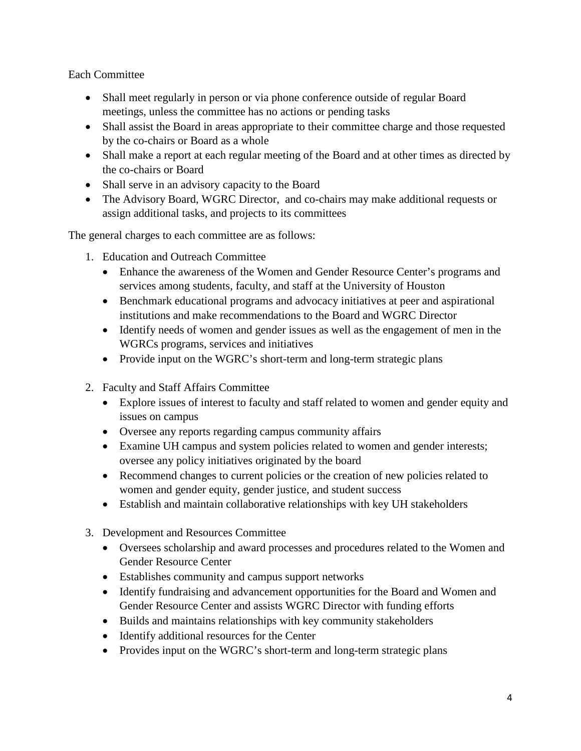Each Committee

- Shall meet regularly in person or via phone conference outside of regular Board meetings, unless the committee has no actions or pending tasks
- Shall assist the Board in areas appropriate to their committee charge and those requested by the co-chairs or Board as a whole
- Shall make a report at each regular meeting of the Board and at other times as directed by the co-chairs or Board
- Shall serve in an advisory capacity to the Board
- The Advisory Board, WGRC Director, and co-chairs may make additional requests or assign additional tasks, and projects to its committees

The general charges to each committee are as follows:

- 1. Education and Outreach Committee
	- Enhance the awareness of the Women and Gender Resource Center's programs and services among students, faculty, and staff at the University of Houston
	- Benchmark educational programs and advocacy initiatives at peer and aspirational institutions and make recommendations to the Board and WGRC Director
	- Identify needs of women and gender issues as well as the engagement of men in the WGRCs programs, services and initiatives
	- Provide input on the WGRC's short-term and long-term strategic plans
- 2. Faculty and Staff Affairs Committee
	- Explore issues of interest to faculty and staff related to women and gender equity and issues on campus
	- Oversee any reports regarding campus community affairs
	- Examine UH campus and system policies related to women and gender interests; oversee any policy initiatives originated by the board
	- Recommend changes to current policies or the creation of new policies related to women and gender equity, gender justice, and student success
	- Establish and maintain collaborative relationships with key UH stakeholders
- 3. Development and Resources Committee
	- Oversees scholarship and award processes and procedures related to the Women and Gender Resource Center
	- Establishes community and campus support networks
	- Identify fundraising and advancement opportunities for the Board and Women and Gender Resource Center and assists WGRC Director with funding efforts
	- Builds and maintains relationships with key community stakeholders
	- Identify additional resources for the Center
	- Provides input on the WGRC's short-term and long-term strategic plans